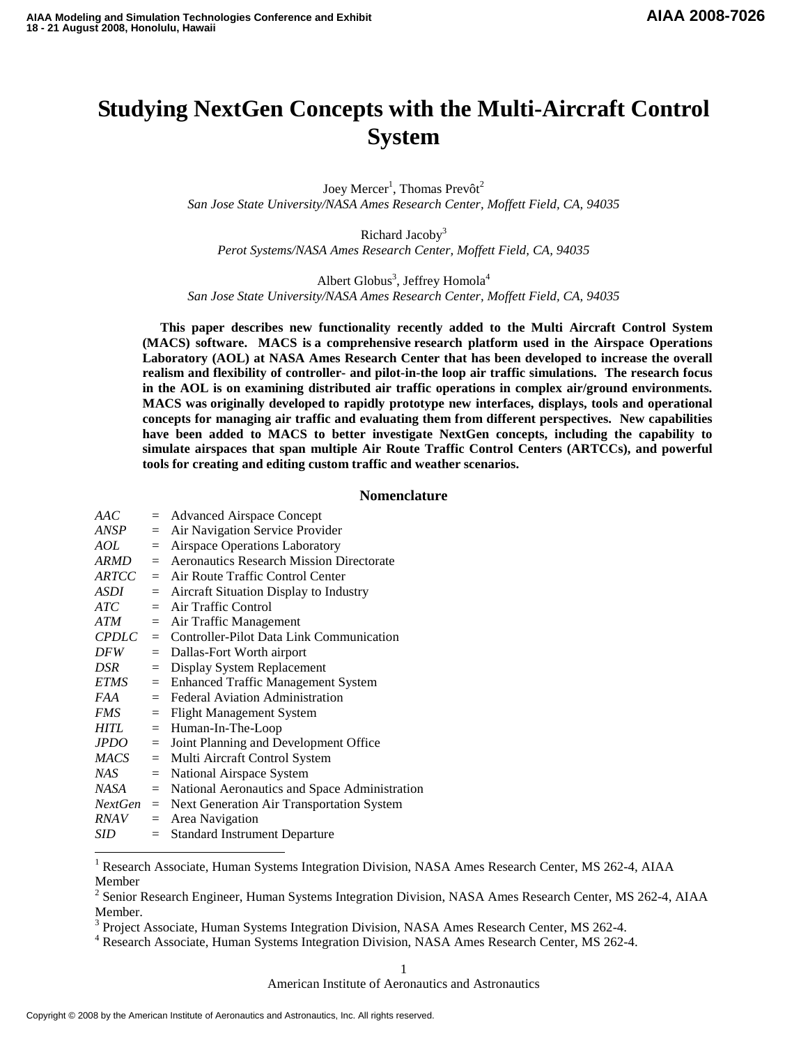# **Studying NextGen Concepts with the Multi-Aircraft Control System**

Joey Mercer<sup>1</sup>, Thomas Prevôt<sup>2</sup> *San Jose State University/NASA Ames Research Center, Moffett Field, CA, 94035*

Richard Jacoby<sup>3</sup> *Perot Systems/NASA Ames Research Center, Moffett Field, CA, 94035*

Albert Globus<sup>3</sup>, Jeffrey Homola<sup>4</sup> *San Jose State University/NASA Ames Research Center, Moffett Field, CA, 94035*

**This paper describes new functionality recently added to the Multi Aircraft Control System (MACS) software. MACS is a comprehensive research platform used in the Airspace Operations Laboratory (AOL) at NASA Ames Research Center that has been developed to increase the overall realism and flexibility of controller- and pilot-in-the loop air traffic simulations. The research focus in the AOL is on examining distributed air traffic operations in complex air/ground environments. MACS was originally developed to rapidly prototype new interfaces, displays, tools and operational concepts for managing air traffic and evaluating them from different perspectives. New capabilities have been added to MACS to better investigate NextGen concepts, including the capability to simulate airspaces that span multiple Air Route Traffic Control Centers (ARTCCs), and powerful tools for creating and editing custom traffic and weather scenarios.**

## **Nomenclature**

| AAC          |     | <b>Advanced Airspace Concept</b>                |  |  |
|--------------|-----|-------------------------------------------------|--|--|
| ANSP         | $=$ | Air Navigation Service Provider                 |  |  |
| AOL          | $=$ | Airspace Operations Laboratory                  |  |  |
| <i>ARMD</i>  |     | <b>Aeronautics Research Mission Directorate</b> |  |  |
| <i>ARTCC</i> |     | $=$ Air Route Traffic Control Center            |  |  |
| ASDI         | $=$ | Aircraft Situation Display to Industry          |  |  |
| ATC          |     | Air Traffic Control                             |  |  |
| ATM          | $=$ | Air Traffic Management                          |  |  |
| <i>CPDLC</i> | $=$ | Controller-Pilot Data Link Communication        |  |  |
| <b>DFW</b>   |     | $=$ Dallas-Fort Worth airport                   |  |  |
| DSR          | $=$ | Display System Replacement                      |  |  |
| ETMS         | $=$ | <b>Enhanced Traffic Management System</b>       |  |  |
| FAA          |     | $=$ Federal Aviation Administration             |  |  |
| <i>FMS</i>   | $=$ | <b>Flight Management System</b>                 |  |  |
| HITL         | $=$ | Human-In-The-Loop                               |  |  |
| <b>JPDO</b>  | $=$ | Joint Planning and Development Office           |  |  |
| MACS         | $=$ | Multi Aircraft Control System                   |  |  |
| NAS          | $=$ | National Airspace System                        |  |  |
| NASA         | $=$ | National Aeronautics and Space Administration   |  |  |
| NextGen      | $=$ | Next Generation Air Transportation System       |  |  |
| RNAV         | $=$ | Area Navigation                                 |  |  |
| SID          | $=$ | <b>Standard Instrument Departure</b>            |  |  |

<sup>1</sup> Research Associate, Human Systems Integration Division, NASA Ames Research Center, MS 262-4, AIAA Member<br><sup>2</sup> Senior Research Engineer, Human Systems Integration Division, NASA Ames Research Center, MS 262-4, AIAA

Member.<br><sup>3</sup> Project Associate, Human Systems Integration Division, NASA Ames Research Center, MS 262-4.<br><sup>4</sup> Research Associate, Human Systems Integration Division, NASA Ames Research Center, MS 262-4.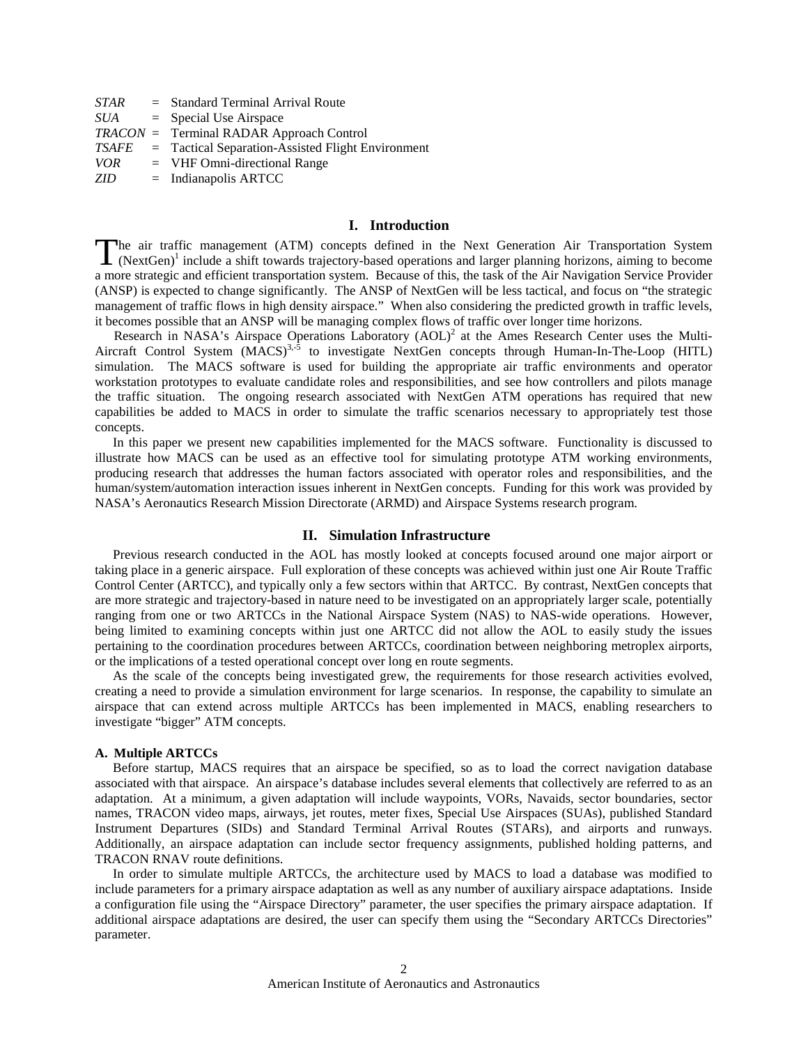| STAR       | $=$ Standard Terminal Arrival Route                       |
|------------|-----------------------------------------------------------|
|            | $SUA$ = Special Use Airspace                              |
|            | $TRACON = Terminal RADAR Approach Control$                |
|            | $TSAFE$ = Tactical Separation-Assisted Flight Environment |
| <i>VOR</i> | $=$ VHF Omni-directional Range                            |
| ZID        | $=$ Indianapolis ARTCC                                    |

## **I. Introduction**

he air traffic management (ATM) concepts defined in the Next Generation Air Transportation System (NextGen) <sup>1</sup> include a shift towards trajectory-based operations and larger planning horizons, aiming to become The air traffic management (ATM) concepts defined in the Next Generation Air Transportation System (NextGen)<sup>1</sup> include a shift towards trajectory-based operations and larger planning horizons, aiming to become a more stra (ANSP) is expected to change significantly. The ANSP of NextGen will be less tactical, and focus on "the strategic management of traffic flows in high density airspace." When also considering the predicted growth in traffic levels, it becomes possible that an ANSP will be managing complex flows of traffic over longer time horizons.

Research in NASA's Airspace Operations Laboratory (AOL)<sup>2</sup> at the Ames Research Center uses the Multi-Aircraft Control System (MACS)<sup>3,-5</sup> to investigate NextGen concepts through Human-In-The-Loop (HITL) simulation. The MACS software is used for building the appropriate air traffic environments and operator workstation prototypes to evaluate candidate roles and responsibilities, and see how controllers and pilots manage the traffic situation. The ongoing research associated with NextGen ATM operations has required that new capabilities be added to MACS in order to simulate the traffic scenarios necessary to appropriately test those concepts.

In this paper we present new capabilities implemented for the MACS software. Functionality is discussed to illustrate how MACS can be used as an effective tool for simulating prototype ATM working environments, producing research that addresses the human factors associated with operator roles and responsibilities, and the human/system/automation interaction issues inherent in NextGen concepts. Funding for this work was provided by NASA's Aeronautics Research Mission Directorate (ARMD) and Airspace Systems research program.

#### **II. Simulation Infrastructure**

Previous research conducted in the AOL has mostly looked at concepts focused around one major airport or taking place in a generic airspace. Full exploration of these concepts was achieved within just one Air Route Traffic Control Center (ARTCC), and typically only a few sectors within that ARTCC. By contrast, NextGen concepts that are more strategic and trajectory-based in nature need to be investigated on an appropriately larger scale, potentially ranging from one or two ARTCCs in the National Airspace System (NAS) to NAS-wide operations. However, being limited to examining concepts within just one ARTCC did not allow the AOL to easily study the issues pertaining to the coordination procedures between ARTCCs, coordination between neighboring metroplex airports, or the implications of a tested operational concept over long en route segments.

As the scale of the concepts being investigated grew, the requirements for those research activities evolved, creating a need to provide a simulation environment for large scenarios. In response, the capability to simulate an airspace that can extend across multiple ARTCCs has been implemented in MACS, enabling researchers to investigate "bigger" ATM concepts.

### **A. Multiple ARTCCs**

Before startup, MACS requires that an airspace be specified, so as to load the correct navigation database associated with that airspace. An airspace's database includes several elements that collectively are referred to as an adaptation. At a minimum, a given adaptation will include waypoints, VORs, Navaids, sector boundaries, sector names, TRACON video maps, airways, jet routes, meter fixes, Special Use Airspaces (SUAs), published Standard Instrument Departures (SIDs) and Standard Terminal Arrival Routes (STARs), and airports and runways. Additionally, an airspace adaptation can include sector frequency assignments, published holding patterns, and TRACON RNAV route definitions.

In order to simulate multiple ARTCCs, the architecture used by MACS to load a database was modified to include parameters for a primary airspace adaptation as well as any number of auxiliary airspace adaptations. Inside a configuration file using the "Airspace Directory" parameter, the user specifies the primary airspace adaptation. If additional airspace adaptations are desired, the user can specify them using the "Secondary ARTCCs Directories" parameter.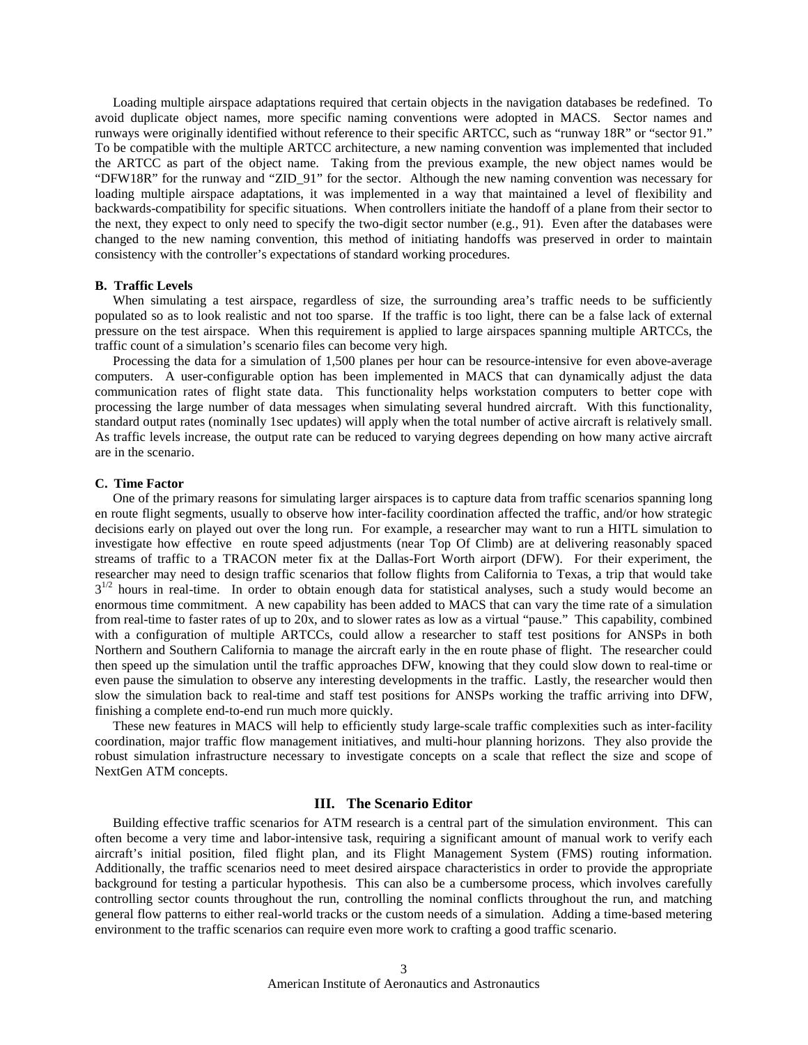Loading multiple airspace adaptations required that certain objects in the navigation databases be redefined. To avoid duplicate object names, more specific naming conventions were adopted in MACS. Sector names and runways were originally identified without reference to their specific ARTCC, such as "runway 18R" or "sector 91." To be compatible with the multiple ARTCC architecture, a new naming convention was implemented that included the ARTCC as part of the object name. Taking from the previous example, the new object names would be "DFW18R" for the runway and "ZID\_91" for the sector. Although the new naming convention was necessary for loading multiple airspace adaptations, it was implemented in a way that maintained a level of flexibility and backwards-compatibility for specific situations. When controllers initiate the handoff of a plane from their sector to the next, they expect to only need to specify the two-digit sector number (e.g., 91). Even after the databases were changed to the new naming convention, this method of initiating handoffs was preserved in order to maintain consistency with the controller's expectations of standard working procedures.

### **B. Traffic Levels**

When simulating a test airspace, regardless of size, the surrounding area's traffic needs to be sufficiently populated so as to look realistic and not too sparse. If the traffic is too light, there can be a false lack of external pressure on the test airspace. When this requirement is applied to large airspaces spanning multiple ARTCCs, the traffic count of a simulation's scenario files can become very high.

Processing the data for a simulation of 1,500 planes per hour can be resource-intensive for even above-average computers. A user-configurable option has been implemented in MACS that can dynamically adjust the data communication rates of flight state data. This functionality helps workstation computers to better cope with processing the large number of data messages when simulating several hundred aircraft. With this functionality, standard output rates (nominally 1sec updates) will apply when the total number of active aircraft is relatively small. As traffic levels increase, the output rate can be reduced to varying degrees depending on how many active aircraft are in the scenario.

#### **C. Time Factor**

One of the primary reasons for simulating larger airspaces is to capture data from traffic scenarios spanning long en route flight segments, usually to observe how inter-facility coordination affected the traffic, and/or how strategic decisions early on played out over the long run. For example, a researcher may want to run a HITL simulation to investigate how effective en route speed adjustments (near Top Of Climb) are at delivering reasonably spaced streams of traffic to a TRACON meter fix at the Dallas-Fort Worth airport (DFW). For their experiment, the researcher may need to design traffic scenarios that follow flights from California to Texas, a trip that would take  $3^{1/2}$  hours in real-time. In order to obtain enough data for statistical analyses, such a study would become an enormous time commitment. A new capability has been added to MACS that can vary the time rate of a simulation from real-time to faster rates of up to 20x, and to slower rates as low as a virtual "pause." This capability, combined with a configuration of multiple ARTCCs, could allow a researcher to staff test positions for ANSPs in both Northern and Southern California to manage the aircraft early in the en route phase of flight. The researcher could then speed up the simulation until the traffic approaches DFW, knowing that they could slow down to real-time or even pause the simulation to observe any interesting developments in the traffic. Lastly, the researcher would then slow the simulation back to real-time and staff test positions for ANSPs working the traffic arriving into DFW, finishing a complete end-to-end run much more quickly.

These new features in MACS will help to efficiently study large-scale traffic complexities such as inter-facility coordination, major traffic flow management initiatives, and multi-hour planning horizons. They also provide the robust simulation infrastructure necessary to investigate concepts on a scale that reflect the size and scope of NextGen ATM concepts.

# **III. The Scenario Editor**

Building effective traffic scenarios for ATM research is a central part of the simulation environment. This can often become a very time and labor-intensive task, requiring a significant amount of manual work to verify each aircraft's initial position, filed flight plan, and its Flight Management System (FMS) routing information. Additionally, the traffic scenarios need to meet desired airspace characteristics in order to provide the appropriate background for testing a particular hypothesis. This can also be a cumbersome process, which involves carefully controlling sector counts throughout the run, controlling the nominal conflicts throughout the run, and matching general flow patterns to either real-world tracks or the custom needs of a simulation. Adding a time-based metering environment to the traffic scenarios can require even more work to crafting a good traffic scenario.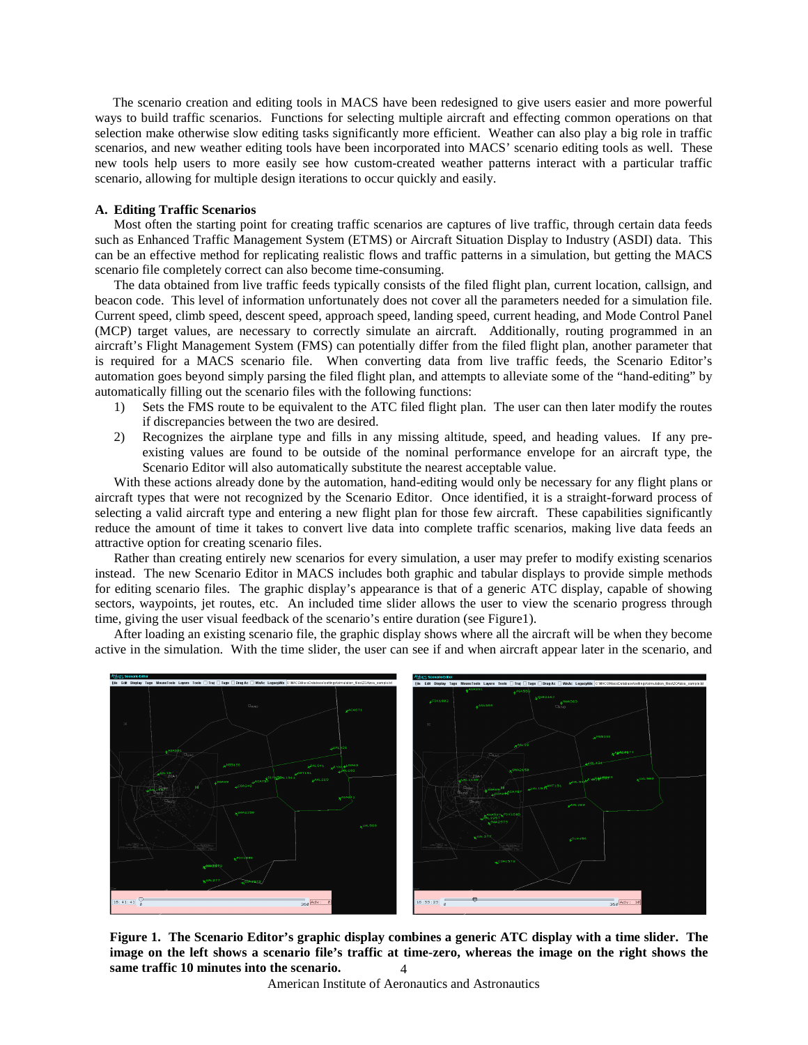The scenario creation and editing tools in MACS have been redesigned to give users easier and more powerful ways to build traffic scenarios. Functions for selecting multiple aircraft and effecting common operations on that selection make otherwise slow editing tasks significantly more efficient. Weather can also play a big role in traffic scenarios, and new weather editing tools have been incorporated into MACS' scenario editing tools as well. These new tools help users to more easily see how custom-created weather patterns interact with a particular traffic scenario, allowing for multiple design iterations to occur quickly and easily.

# **A. Editing Traffic Scenarios**

Most often the starting point for creating traffic scenarios are captures of live traffic, through certain data feeds such as Enhanced Traffic Management System (ETMS) or Aircraft Situation Display to Industry (ASDI) data. This can be an effective method for replicating realistic flows and traffic patterns in a simulation, but getting the MACS scenario file completely correct can also become time-consuming.

The data obtained from live traffic feeds typically consists of the filed flight plan, current location, callsign, and beacon code. This level of information unfortunately does not cover all the parameters needed for a simulation file. Current speed, climb speed, descent speed, approach speed, landing speed, current heading, and Mode Control Panel (MCP) target values, are necessary to correctly simulate an aircraft. Additionally, routing programmed in an aircraft's Flight Management System (FMS) can potentially differ from the filed flight plan, another parameter that is required for a MACS scenario file. When converting data from live traffic feeds, the Scenario Editor's automation goes beyond simply parsing the filed flight plan, and attempts to alleviate some of the "hand-editing" by automatically filling out the scenario files with the following functions:

- 1) Sets the FMS route to be equivalent to the ATC filed flight plan. The user can then later modify the routes if discrepancies between the two are desired.
- 2) Recognizes the airplane type and fills in any missing altitude, speed, and heading values. If any preexisting values are found to be outside of the nominal performance envelope for an aircraft type, the Scenario Editor will also automatically substitute the nearest acceptable value.

With these actions already done by the automation, hand-editing would only be necessary for any flight plans or aircraft types that were not recognized by the Scenario Editor. Once identified, it is a straight-forward process of selecting a valid aircraft type and entering a new flight plan for those few aircraft. These capabilities significantly reduce the amount of time it takes to convert live data into complete traffic scenarios, making live data feeds an attractive option for creating scenario files.

Rather than creating entirely new scenarios for every simulation, a user may prefer to modify existing scenarios instead. The new Scenario Editor in MACS includes both graphic and tabular displays to provide simple methods for editing scenario files. The graphic display's appearance is that of a generic ATC display, capable of showing sectors, waypoints, jet routes, etc. An included time slider allows the user to view the scenario progress through time, giving the user visual feedback of the scenario's entire duration (see Figure1).

After loading an existing scenario file, the graphic display shows where all the aircraft will be when they become active in the simulation. With the time slider, the user can see if and when aircraft appear later in the scenario, and



4 **Figure 1. The Scenario Editor's graphic display combines a generic ATC display with a time slider. The** image on the left shows a scenario file's traffic at time-zero, whereas the image on the right shows the **same traffic 10 minutes into the scenario.**

American Institute of Aeronautics and Astronautics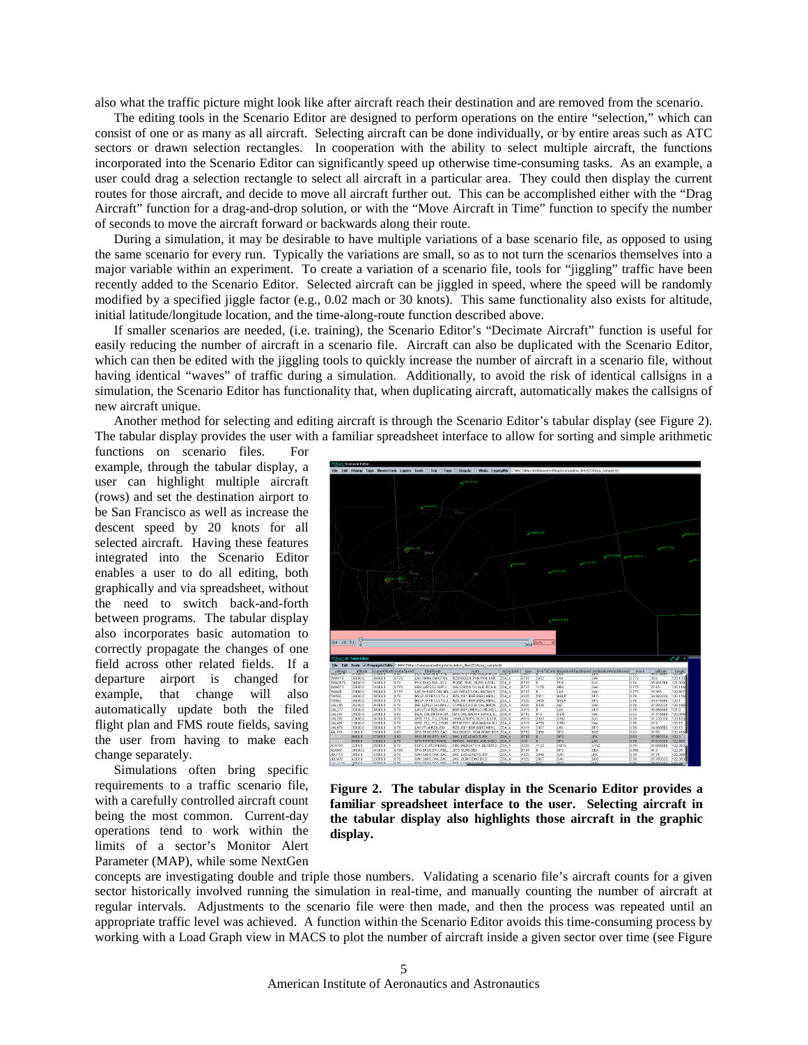also what the traffic picture might look like after aircraft reach their destination and are removed from the scenario.

The editing tools in the Scenario Editor are designed to perform operations on the entire "selection," which can consist of one or as many as all aircraft. Selecting aircraft can be done individually, or by entire areas such as ATC sectors or drawn selection rectangles. In cooperation with the ability to select multiple aircraft, the functions incorporated into the Scenario Editor can significantly speed up otherwise time-consuming tasks. As an example, a user could drag a selection rectangle to select all aircraft in a particular area. They could then display the current routes for those aircraft, and decide to move all aircraft further out. This can be accomplished either with the "Drag Aircraft" function for a drag-and-drop solution, or with the "Move Aircraft in Time" function to specify the number of seconds to move the aircraft forward or backwards along their route.

During a simulation, it may be desirable to have multiple variations of a base scenario file, as opposed to using the same scenario for every run. Typically the variations are small, so as to not turn the scenarios themselves into a major variable within an experiment. To create a variation of a scenario file, tools for "jiggling" traffic have been recently added to the Scenario Editor. Selected aircraft can be jiggled in speed, where the speed will be randomly modified by a specified jiggle factor (e.g., 0.02 mach or 30 knots). This same functionality also exists for altitude, initial latitude/longitude location, and the time-along-route function described above.

If smaller scenarios are needed, (i.e. training), the Scenario Editor's "Decimate Aircraft" function is useful for easily reducing the number of aircraft in a scenario file. Aircraft can also be duplicated with the Scenario Editor, which can then be edited with the jiggling tools to quickly increase the number of aircraft in a scenario file, without having identical "waves" of traffic during a simulation. Additionally, to avoid the risk of identical callsigns in a simulation, the Scenario Editor has functionality that, when duplicating aircraft, automatically makes the callsigns of new aircraft unique.

Another method for selecting and editing aircraft is through the Scenario Editor's tabular display (see Figure 2). The tabular display provides the user with a familiar spreadsheet interface to allow for sorting and simple arithmetic

functions on scenario files. For example, through the tabular display, a user can highlight multiple aircraft (rows) and set the destination airport to be San Francisco as well as increase the descent speed by 20 knots for all selected aircraft. Having these features integrated into the Scenario Editor enables a user to do all editing, both graphically and via spreadsheet, without the need to switch back-and-forth between programs. The tabular display also incorporates basic automation to correctly propagate the changes of one field across other related fields. If a departure airport is changed for example, that change will also automatically update both the filed flight plan and FMS route fields, saving the user from having to make each change separately.

Simulations often bring specific requirements to a traffic scenario file, with a carefully controlled aircraft count being the most common. Current-day operations tend to work within the limits of a sector's Monitor Alert Parameter (MAP), while some NextGen



**Figure 2. The tabular display in the Scenario Editor provides a familiar spreadsheet interface to the user. Selecting aircraft in the tabular display also highlights those aircraft in the graphic display.**

concepts are investigating double and triple those numbers. Validating a scenario file's aircraft counts for a given sector historically involved running the simulation in real-time, and manually counting the number of aircraft at regular intervals. Adjustments to the scenario file were then made, and then the process was repeated until an appropriate traffic level was achieved. A function within the Scenario Editor avoids this time-consuming process by working with a Load Graph view in MACS to plot the number of aircraft inside a given sector over time (see Figure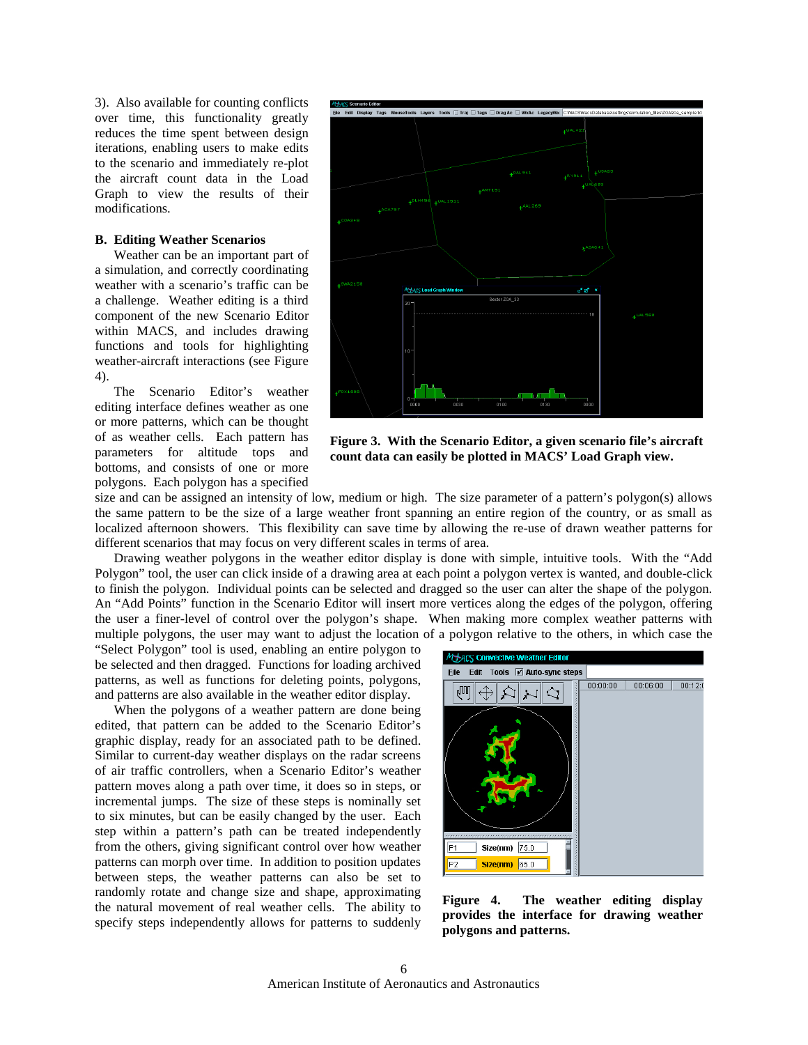3). Also available for counting conflicts over time, this functionality greatly reduces the time spent between design iterations, enabling users to make edits to the scenario and immediately re-plot the aircraft count data in the Load Graph to view the results of their modifications.

## **B. Editing Weather Scenarios**

Weather can be an important part of a simulation, and correctly coordinating weather with a scenario's traffic can be a challenge. Weather editing is a third component of the new Scenario Editor within MACS, and includes drawing functions and tools for highlighting weather-aircraft interactions (see Figure 4).

The Scenario Editor's weather editing interface defines weather as one or more patterns, which can be thought of as weather cells. Each pattern has parameters for altitude tops and bottoms, and consists of one or more polygons. Each polygon has a specified



**Figure 3. With the Scenario Editor, a given scenario file's aircraft count data can easily be plotted in MACS' Load Graph view.**

size and can be assigned an intensity of low, medium or high. The size parameter of a pattern's polygon(s) allows the same pattern to be the size of a large weather front spanning an entire region of the country, or as small as localized afternoon showers. This flexibility can save time by allowing the re-use of drawn weather patterns for different scenarios that may focus on very different scales in terms of area.

Drawing weather polygons in the weather editor display is done with simple, intuitive tools. With the "Add Polygon" tool, the user can click inside of a drawing area at each point a polygon vertex is wanted, and double-click to finish the polygon. Individual points can be selected and dragged so the user can alter the shape of the polygon. An "Add Points" function in the Scenario Editor will insert more vertices along the edges of the polygon, offering the user a finer-level of control over the polygon's shape. When making more complex weather patterns with multiple polygons, the user may want to adjust the location of a polygon relative to the others, in which case the

"Select Polygon" tool is used, enabling an entire polygon to be selected and then dragged. Functions for loading archived patterns, as well as functions for deleting points, polygons, and patterns are also available in the weather editor display.

When the polygons of a weather pattern are done being edited, that pattern can be added to the Scenario Editor's graphic display, ready for an associated path to be defined. Similar to current-day weather displays on the radar screens of air traffic controllers, when a Scenario Editor's weather pattern moves along a path over time, it does so in steps, or incremental jumps. The size of these steps is nominally set to six minutes, but can be easily changed by the user. Each step within a pattern's path can be treated independently from the others, giving significant control over how weather patterns can morph over time. In addition to position updates between steps, the weather patterns can also be set to randomly rotate and change size and shape, approximating the natural movement of real weather cells. The ability to specify steps independently allows for patterns to suddenly



**Figure 4. The weather editing display provides the interface for drawing weather polygons and patterns.**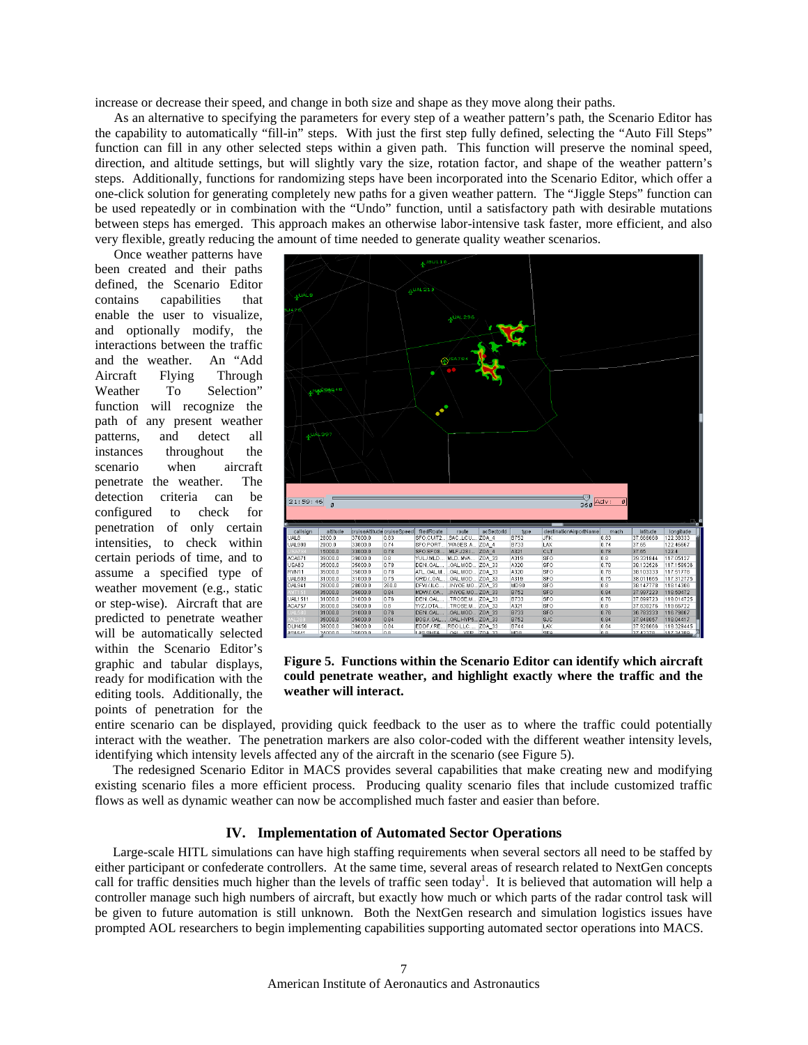increase or decrease their speed, and change in both size and shape as they move along their paths.

As an alternative to specifying the parameters for every step of a weather pattern's path, the Scenario Editor has the capability to automatically "fill-in" steps. With just the first step fully defined, selecting the "Auto Fill Steps" function can fill in any other selected steps within a given path. This function will preserve the nominal speed, direction, and altitude settings, but will slightly vary the size, rotation factor, and shape of the weather pattern's steps. Additionally, functions for randomizing steps have been incorporated into the Scenario Editor, which offer a one-click solution for generating completely new paths for a given weather pattern. The "Jiggle Steps" function can be used repeatedly or in combination with the "Undo" function, until a satisfactory path with desirable mutations between steps has emerged. This approach makes an otherwise labor-intensive task faster, more efficient, and also very flexible, greatly reducing the amount of time needed to generate quality weather scenarios.

Once weather patterns have been created and their paths defined, the Scenario Editor contains capabilities that enable the user to visualize, and optionally modify, the interactions between the traffic and the weather. An "Add Aircraft Flying Through Weather To Selection" function will recognize the path of any present weather patterns, and detect all instances throughout the scenario when aircraft penetrate the weather. The detection criteria can be configured to check for penetration of only certain intensities, to check within certain periods of time, and to assume a specified type of weather movement (e.g., static or step-wise). Aircraft that are predicted to penetrate weather will be automatically selected within the Scenario Editor's graphic and tabular displays, ready for modification with the editing tools. Additionally, the points of penetration for the



**Figure 5. Functions within the Scenario Editor can identify which aircraft could penetrate weather, and highlight exactly where the traffic and the weather will interact.**

entire scenario can be displayed, providing quick feedback to the user as to where the traffic could potentially interact with the weather. The penetration markers are also color-coded with the different weather intensity levels, identifying which intensity levels affected any of the aircraft in the scenario (see Figure 5).

The redesigned Scenario Editor in MACS provides several capabilities that make creating new and modifying existing scenario files a more efficient process. Producing quality scenario files that include customized traffic flows as well as dynamic weather can now be accomplished much faster and easier than before.

# **IV. Implementation of Automated Sector Operations**

Large-scale HITL simulations can have high staffing requirements when several sectors all need to be staffed by either participant or confederate controllers. At the same time, several areas of research related to NextGen concepts call for traffic densities much higher than the levels of traffic seen today<sup>1</sup>. It is believed that automation will help a controller manage such high numbers of aircraft, but exactly how much or which parts of the radar control task will be given to future automation is still unknown. Both the NextGen research and simulation logistics issues have prompted AOL researchers to begin implementing capabilities supporting automated sector operations into MACS.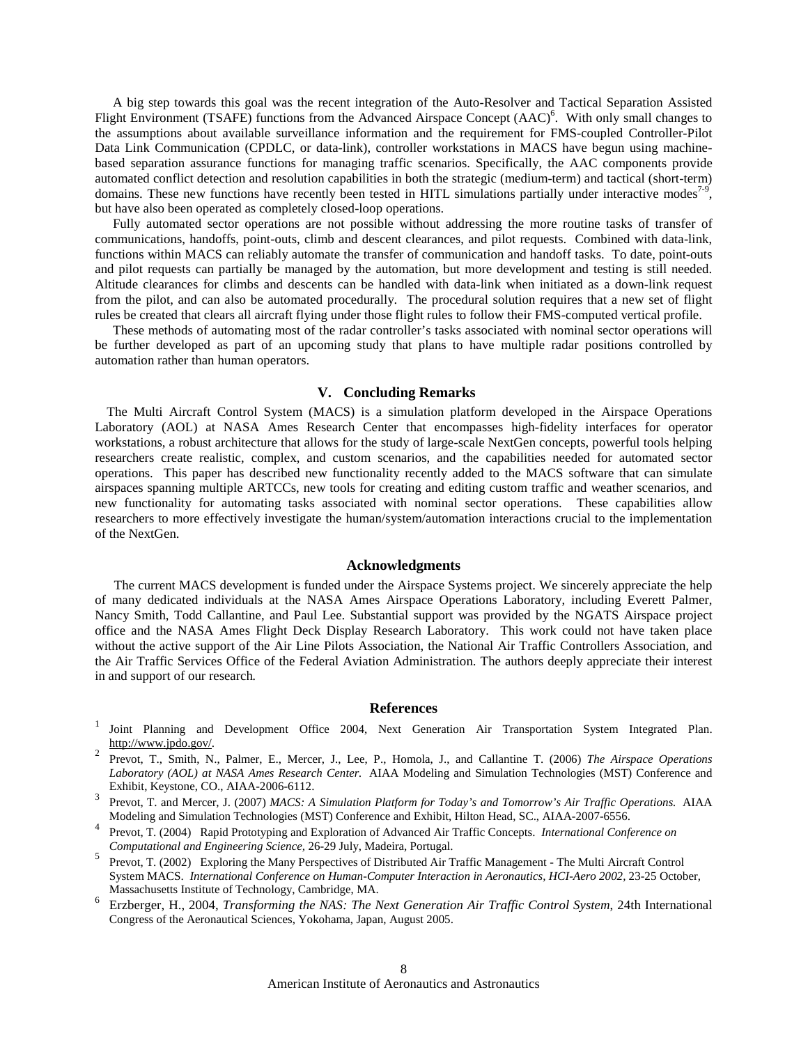A big step towards this goal was the recent integration of the Auto-Resolver and Tactical Separation Assisted Flight Environment (TSAFE) functions from the Advanced Airspace Concept (AAC)<sup>6</sup>. With only small changes to the assumptions about available surveillance information and the requirement for FMS-coupled Controller-Pilot Data Link Communication (CPDLC, or data-link), controller workstations in MACS have begun using machinebased separation assurance functions for managing traffic scenarios. Specifically, the AAC components provide automated conflict detection and resolution capabilities in both the strategic (medium-term) and tactical (short-term) domains. These new functions have recently been tested in HITL simulations partially under interactive modes<sup>7-9</sup>, but have also been operated as completely closed-loop operations.

Fully automated sector operations are not possible without addressing the more routine tasks of transfer of communications, handoffs, point-outs, climb and descent clearances, and pilot requests. Combined with data-link, functions within MACS can reliably automate the transfer of communication and handoff tasks. To date, point-outs and pilot requests can partially be managed by the automation, but more development and testing is still needed. Altitude clearances for climbs and descents can be handled with data-link when initiated as a down-link request from the pilot, and can also be automated procedurally. The procedural solution requires that a new set of flight rules be created that clears all aircraft flying under those flight rules to follow their FMS-computed vertical profile.

These methods of automating most of the radar controller's tasks associated with nominal sector operations will be further developed as part of an upcoming study that plans to have multiple radar positions controlled by automation rather than human operators.

# **V. Concluding Remarks**

The Multi Aircraft Control System (MACS) is a simulation platform developed in the Airspace Operations Laboratory (AOL) at NASA Ames Research Center that encompasses high-fidelity interfaces for operator workstations, a robust architecture that allows for the study of large-scale NextGen concepts, powerful tools helping researchers create realistic, complex, and custom scenarios, and the capabilities needed for automated sector operations. This paper has described new functionality recently added to the MACS software that can simulate airspaces spanning multiple ARTCCs, new tools for creating and editing custom traffic and weather scenarios, and new functionality for automating tasks associated with nominal sector operations. These capabilities allow researchers to more effectively investigate the human/system/automation interactions crucial to the implementation of the NextGen.

## **Acknowledgments**

The current MACS development is funded under the Airspace Systems project. We sincerely appreciate the help of many dedicated individuals at the NASA Ames Airspace Operations Laboratory, including Everett Palmer, Nancy Smith, Todd Callantine, and Paul Lee. Substantial support was provided by the NGATS Airspace project office and the NASA Ames Flight Deck Display Research Laboratory. This work could not have taken place without the active support of the Air Line Pilots Association, the National Air Traffic Controllers Association, and the Air Traffic Services Office of the Federal Aviation Administration. The authors deeply appreciate their interest in and support of our research*.*

#### **References**

- <sup>1</sup> Joint Planning and Development Office 2004, Next Generation Air Transportation System Integrated Plan. http://www.jpdo.gov/. <sup>2</sup> Prevot, T., Smith, N., Palmer, E., Mercer, J., Lee, P., Homola, J., and Callantine T. (2006) *The Airspace Operations*
- *Laboratory (AOL) at NASA Ames Research Center.* AIAA Modeling and Simulation Technologies (MST) Conference and
- Exhibit, Keystone, CO., AIAA-2006-6112.<br><sup>3</sup> Prevot, T. and Mercer, J. (2007) *MACS: A Simulation Platform for Today's and Tomorrow's Air Traffic Operations.* AIAA Modeling and Simulation Technologies (MST) Conference and Exhibit, Hilton Head, SC., AIAA-2007-6556.<br><sup>4</sup> Prevot, T. (2004) Rapid Prototyping and Exploration of Advanced Air Traffic Concepts. *International Conference on*
- *Computational and Engineering Science,* 26-29 July, Madeira, Portugal.<br>Prevot, T. (2002) Exploring the Many Perspectives of Distributed Air Traffic Management The Multi Aircraft Control
- System MACS. *International Conference on Human-Computer Interaction in Aeronautics, HCI-Aero 2002,* 23-25 October, Massachusetts Institute of Technology, Cambridge, MA.<br><sup>6</sup> Erzberger, H., 2004, *Transforming the NAS: The Next Generation Air Traffic Control System*, 24th International
- Congress of the Aeronautical Sciences, Yokohama, Japan, August 2005.